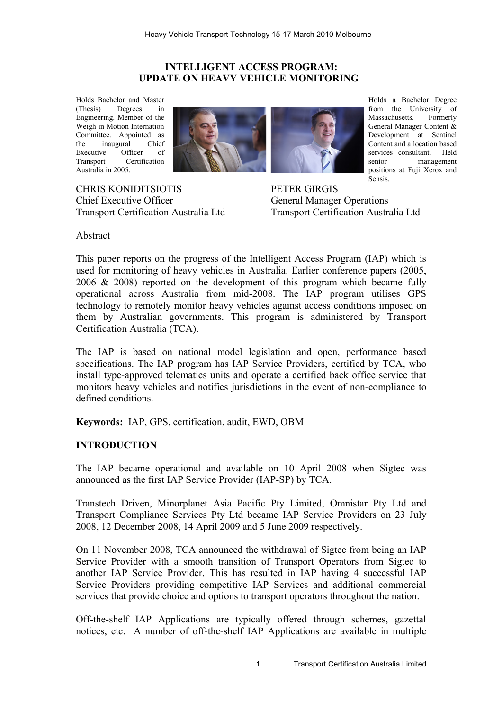## **INTELLIGENT ACCESS PROGRAM: UPDATE ON HEAVY VEHICLE MONITORING**

Holds Bachelor and Master (Thesis) Degrees in Engineering. Member of the Weigh in Motion Internation Committee. Appointed as the inaugural Chief Executive Officer of Transport Certification Australia in 2005.



CHRIS KONIDITSIOTIS Chief Executive Officer Transport Certification Australia Ltd Holds a Bachelor Degree from the University of Massachusetts. Formerly General Manager Content & Development at Sentinel Content and a location based services consultant. Held<br>senior management management positions at Fuji Xerox and Sensis.

PETER GIRGIS General Manager Operations Transport Certification Australia Ltd

Abstract

This paper reports on the progress of the Intelligent Access Program (IAP) which is used for monitoring of heavy vehicles in Australia. Earlier conference papers (2005, 2006 & 2008) reported on the development of this program which became fully operational across Australia from mid-2008. The IAP program utilises GPS technology to remotely monitor heavy vehicles against access conditions imposed on them by Australian governments. This program is administered by Transport Certification Australia (TCA).

The IAP is based on national model legislation and open, performance based specifications. The IAP program has IAP Service Providers, certified by TCA, who install type-approved telematics units and operate a certified back office service that monitors heavy vehicles and notifies jurisdictions in the event of non-compliance to defined conditions.

**Keywords:** IAP, GPS, certification, audit, EWD, OBM

# **INTRODUCTION**

The IAP became operational and available on 10 April 2008 when Sigtec was announced as the first IAP Service Provider (IAP-SP) by TCA.

Transtech Driven, Minorplanet Asia Pacific Pty Limited, Omnistar Pty Ltd and Transport Compliance Services Pty Ltd became IAP Service Providers on 23 July 2008, 12 December 2008, 14 April 2009 and 5 June 2009 respectively.

On 11 November 2008, TCA announced the withdrawal of Sigtec from being an IAP Service Provider with a smooth transition of Transport Operators from Sigtec to another IAP Service Provider. This has resulted in IAP having 4 successful IAP Service Providers providing competitive IAP Services and additional commercial services that provide choice and options to transport operators throughout the nation.

Off-the-shelf IAP Applications are typically offered through schemes, gazettal notices, etc. A number of off-the-shelf IAP Applications are available in multiple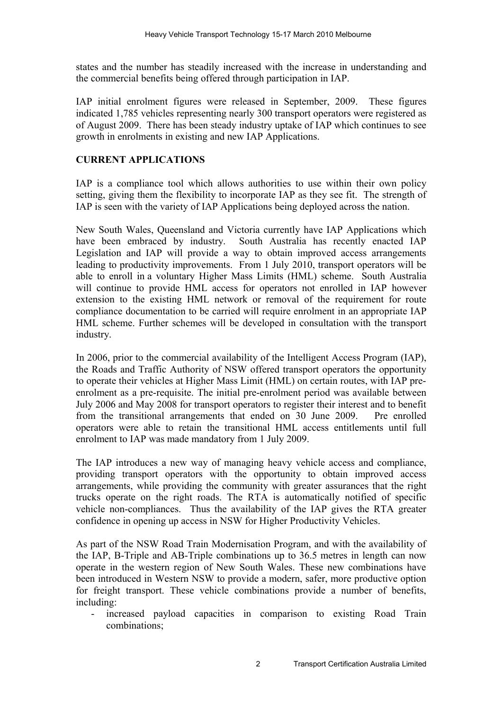states and the number has steadily increased with the increase in understanding and the commercial benefits being offered through participation in IAP.

IAP initial enrolment figures were released in September, 2009. These figures indicated 1,785 vehicles representing nearly 300 transport operators were registered as of August 2009. There has been steady industry uptake of IAP which continues to see growth in enrolments in existing and new IAP Applications.

# **CURRENT APPLICATIONS**

IAP is a compliance tool which allows authorities to use within their own policy setting, giving them the flexibility to incorporate IAP as they see fit. The strength of IAP is seen with the variety of IAP Applications being deployed across the nation.

New South Wales, Queensland and Victoria currently have IAP Applications which have been embraced by industry. South Australia has recently enacted IAP Legislation and IAP will provide a way to obtain improved access arrangements leading to productivity improvements. From 1 July 2010, transport operators will be able to enroll in a voluntary Higher Mass Limits (HML) scheme. South Australia will continue to provide HML access for operators not enrolled in IAP however extension to the existing HML network or removal of the requirement for route compliance documentation to be carried will require enrolment in an appropriate IAP HML scheme. Further schemes will be developed in consultation with the transport industry.

In 2006, prior to the commercial availability of the Intelligent Access Program (IAP), the Roads and Traffic Authority of NSW offered transport operators the opportunity to operate their vehicles at Higher Mass Limit (HML) on certain routes, with IAP preenrolment as a pre-requisite. The initial pre-enrolment period was available between July 2006 and May 2008 for transport operators to register their interest and to benefit from the transitional arrangements that ended on 30 June 2009. Pre enrolled operators were able to retain the transitional HML access entitlements until full enrolment to IAP was made mandatory from 1 July 2009.

The IAP introduces a new way of managing heavy vehicle access and compliance, providing transport operators with the opportunity to obtain improved access arrangements, while providing the community with greater assurances that the right trucks operate on the right roads. The RTA is automatically notified of specific vehicle non-compliances. Thus the availability of the IAP gives the RTA greater confidence in opening up access in NSW for Higher Productivity Vehicles.

As part of the NSW Road Train Modernisation Program, and with the availability of the IAP, B-Triple and AB-Triple combinations up to 36.5 metres in length can now operate in the western region of New South Wales. These new combinations have been introduced in Western NSW to provide a modern, safer, more productive option for freight transport. These vehicle combinations provide a number of benefits, including:

increased payload capacities in comparison to existing Road Train combinations;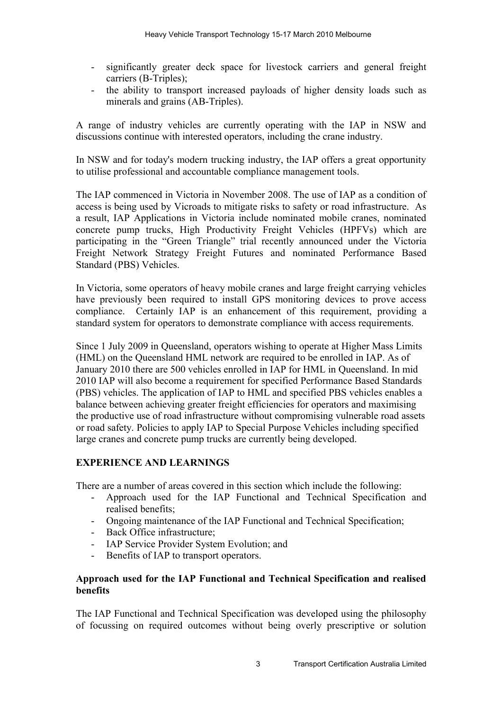- significantly greater deck space for livestock carriers and general freight carriers (B-Triples);
- the ability to transport increased payloads of higher density loads such as minerals and grains (AB-Triples).

A range of industry vehicles are currently operating with the IAP in NSW and discussions continue with interested operators, including the crane industry.

In NSW and for today's modern trucking industry, the IAP offers a great opportunity to utilise professional and accountable compliance management tools.

The IAP commenced in Victoria in November 2008. The use of IAP as a condition of access is being used by Vicroads to mitigate risks to safety or road infrastructure. As a result, IAP Applications in Victoria include nominated mobile cranes, nominated concrete pump trucks, High Productivity Freight Vehicles (HPFVs) which are participating in the "Green Triangle" trial recently announced under the Victoria Freight Network Strategy Freight Futures and nominated Performance Based Standard (PBS) Vehicles.

In Victoria, some operators of heavy mobile cranes and large freight carrying vehicles have previously been required to install GPS monitoring devices to prove access compliance. Certainly IAP is an enhancement of this requirement, providing a standard system for operators to demonstrate compliance with access requirements.

Since 1 July 2009 in Queensland, operators wishing to operate at Higher Mass Limits (HML) on the Queensland HML network are required to be enrolled in IAP. As of January 2010 there are 500 vehicles enrolled in IAP for HML in Queensland. In mid 2010 IAP will also become a requirement for specified Performance Based Standards (PBS) vehicles. The application of IAP to HML and specified PBS vehicles enables a balance between achieving greater freight efficiencies for operators and maximising the productive use of road infrastructure without compromising vulnerable road assets or road safety. Policies to apply IAP to Special Purpose Vehicles including specified large cranes and concrete pump trucks are currently being developed.

# **EXPERIENCE AND LEARNINGS**

There are a number of areas covered in this section which include the following:

- Approach used for the IAP Functional and Technical Specification and realised benefits;
- Ongoing maintenance of the IAP Functional and Technical Specification;
- Back Office infrastructure;
- IAP Service Provider System Evolution; and
- Benefits of IAP to transport operators.

## **Approach used for the IAP Functional and Technical Specification and realised benefits**

The IAP Functional and Technical Specification was developed using the philosophy of focussing on required outcomes without being overly prescriptive or solution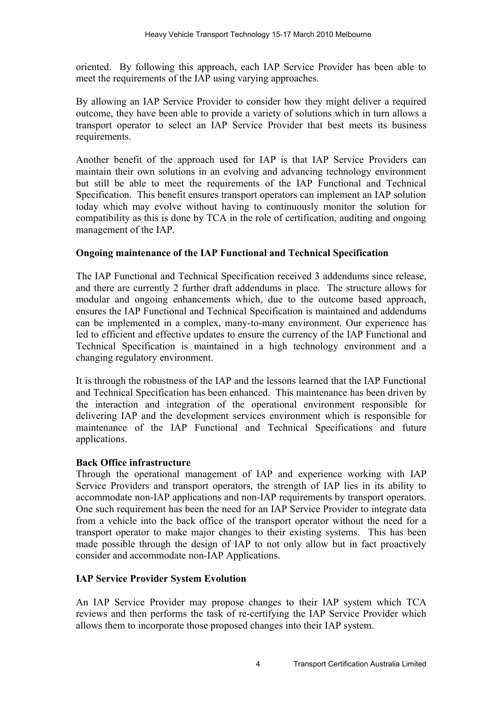oriented. By following this approach, each IAP Service Provider has been able to meet the requirements of the IAP using varying approaches.

By allowing an IAP Service Provider to consider how they might deliver a required outcome, they have been able to provide a variety of solutions which in turn allows a transport operator to select an IAP Service Provider that best meets its business requirements.

Another benefit of the approach used for IAP is that IAP Service Providers can maintain their own solutions in an evolving and advancing technology environment but still be able to meet the requirements of the IAP Functional and Technical Specification. This benefit ensures transport operators can implement an IAP solution today which may evolve without having to continuously monitor the solution for compatibility as this is done by TCA in the role of certification, auditing and ongoing management of the IAP.

## **Ongoing maintenance of the IAP Functional and Technical Specification**

The IAP Functional and Technical Specification received 3 addendums since release, and there are currently 2 further draft addendums in place. The structure allows for modular and ongoing enhancements which, due to the outcome based approach, ensures the IAP Functional and Technical Specification is maintained and addendums can be implemented in a complex, many-to-many environment. Our experience has led to efficient and effective updates to ensure the currency of the IAP Functional and Technical Specification is maintained in a high technology environment and a changing regulatory environment.

It is through the robustness of the IAP and the lessons learned that the IAP Functional and Technical Specification has been enhanced. This maintenance has been driven by the interaction and integration of the operational environment responsible for delivering IAP and the development services environment which is responsible for maintenance of the IAP Functional and Technical Specifications and future applications.

### **Back Office infrastructure**

Through the operational management of IAP and experience working with IAP Service Providers and transport operators, the strength of IAP lies in its ability to accommodate non-IAP applications and non-IAP requirements by transport operators. One such requirement has been the need for an IAP Service Provider to integrate data from a vehicle into the back office of the transport operator without the need for a transport operator to make major changes to their existing systems. This has been made possible through the design of IAP to not only allow but in fact proactively consider and accommodate non-IAP Applications.

# **IAP Service Provider System Evolution**

An IAP Service Provider may propose changes to their IAP system which TCA reviews and then performs the task of re-certifying the IAP Service Provider which allows them to incorporate those proposed changes into their IAP system.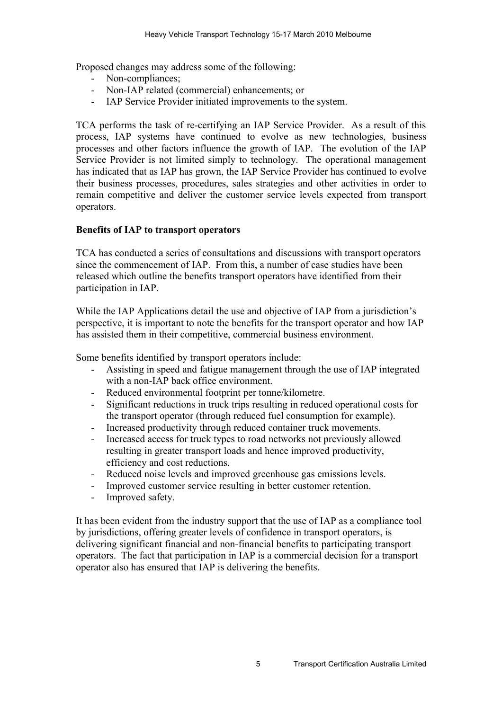Proposed changes may address some of the following:

- Non-compliances;
- Non-IAP related (commercial) enhancements; or
- IAP Service Provider initiated improvements to the system.

TCA performs the task of re-certifying an IAP Service Provider. As a result of this process, IAP systems have continued to evolve as new technologies, business processes and other factors influence the growth of IAP. The evolution of the IAP Service Provider is not limited simply to technology. The operational management has indicated that as IAP has grown, the IAP Service Provider has continued to evolve their business processes, procedures, sales strategies and other activities in order to remain competitive and deliver the customer service levels expected from transport operators.

### **Benefits of IAP to transport operators**

TCA has conducted a series of consultations and discussions with transport operators since the commencement of IAP. From this, a number of case studies have been released which outline the benefits transport operators have identified from their participation in IAP.

While the IAP Applications detail the use and objective of IAP from a jurisdiction's perspective, it is important to note the benefits for the transport operator and how IAP has assisted them in their competitive, commercial business environment.

Some benefits identified by transport operators include:

- Assisting in speed and fatigue management through the use of IAP integrated with a non-IAP back office environment.
- Reduced environmental footprint per tonne/kilometre.
- Significant reductions in truck trips resulting in reduced operational costs for the transport operator (through reduced fuel consumption for example).
- Increased productivity through reduced container truck movements.
- Increased access for truck types to road networks not previously allowed resulting in greater transport loads and hence improved productivity, efficiency and cost reductions.
- Reduced noise levels and improved greenhouse gas emissions levels.
- Improved customer service resulting in better customer retention.
- Improved safety.

It has been evident from the industry support that the use of IAP as a compliance tool by jurisdictions, offering greater levels of confidence in transport operators, is delivering significant financial and non-financial benefits to participating transport operators. The fact that participation in IAP is a commercial decision for a transport operator also has ensured that IAP is delivering the benefits.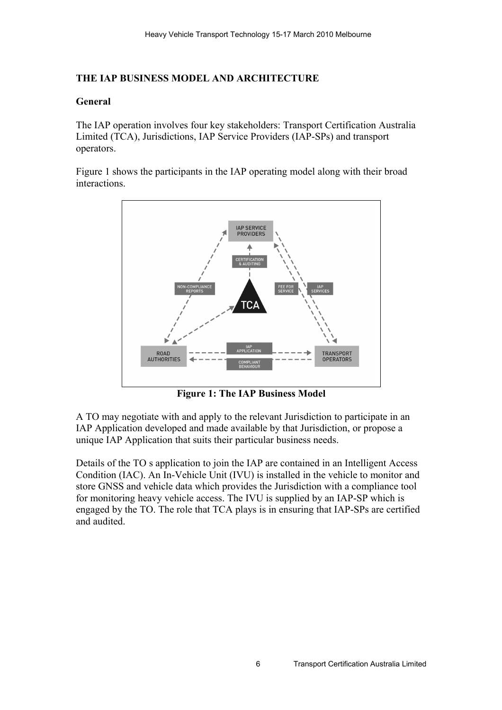# **THE IAP BUSINESS MODEL AND ARCHITECTURE**

## **General**

The IAP operation involves four key stakeholders: Transport Certification Australia Limited (TCA), Jurisdictions, IAP Service Providers (IAP-SPs) and transport operators.

[Figure 1](#page-5-0) shows the participants in the IAP operating model along with their broad interactions.



<span id="page-5-0"></span>**Figure 1: The IAP Business Model**

A TO may negotiate with and apply to the relevant Jurisdiction to participate in an IAP Application developed and made available by that Jurisdiction, or propose a unique IAP Application that suits their particular business needs.

Details of the TO s application to join the IAP are contained in an Intelligent Access Condition (IAC). An In-Vehicle Unit (IVU) is installed in the vehicle to monitor and store GNSS and vehicle data which provides the Jurisdiction with a compliance tool for monitoring heavy vehicle access. The IVU is supplied by an IAP-SP which is engaged by the TO. The role that TCA plays is in ensuring that IAP-SPs are certified and audited.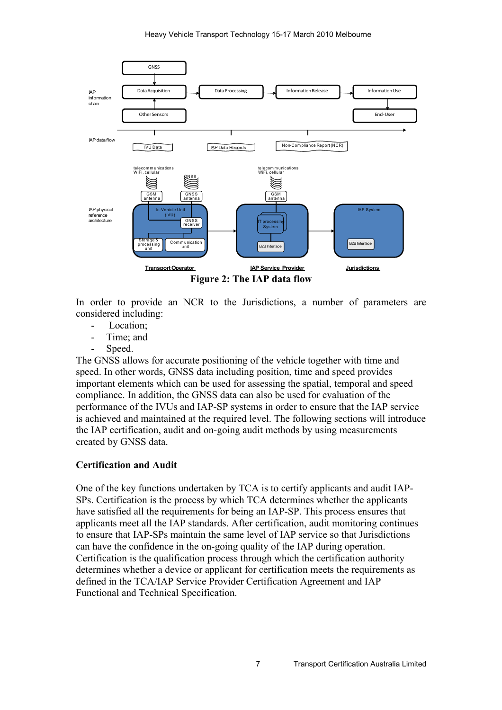

In order to provide an NCR to the Jurisdictions, a number of parameters are considered including:

- Location;
- Time; and
- Speed.

The GNSS allows for accurate positioning of the vehicle together with time and speed. In other words, GNSS data including position, time and speed provides important elements which can be used for assessing the spatial, temporal and speed compliance. In addition, the GNSS data can also be used for evaluation of the performance of the IVUs and IAP-SP systems in order to ensure that the IAP service is achieved and maintained at the required level. The following sections will introduce the IAP certification, audit and on-going audit methods by using measurements created by GNSS data.

# **Certification and Audit**

One of the key functions undertaken by TCA is to certify applicants and audit IAP-SPs. Certification is the process by which TCA determines whether the applicants have satisfied all the requirements for being an IAP-SP. This process ensures that applicants meet all the IAP standards. After certification, audit monitoring continues to ensure that IAP-SPs maintain the same level of IAP service so that Jurisdictions can have the confidence in the on-going quality of the IAP during operation. Certification is the qualification process through which the certification authority determines whether a device or applicant for certification meets the requirements as defined in the TCA/IAP Service Provider Certification Agreement and IAP Functional and Technical Specification.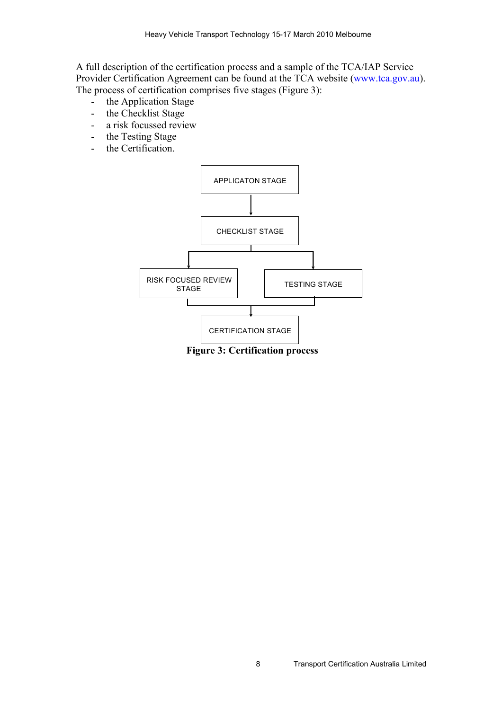A full description of the certification process and a sample of the TCA/IAP Service Provider Certification Agreement can be found at the TCA website (www.tca.gov.au). The process of certification comprises five stages [\(Figure 3\)](#page-7-0):

- the Application Stage
- the Checklist Stage
- a risk focussed review
- the Testing Stage
- the Certification.



<span id="page-7-0"></span>**Figure 3: Certification process**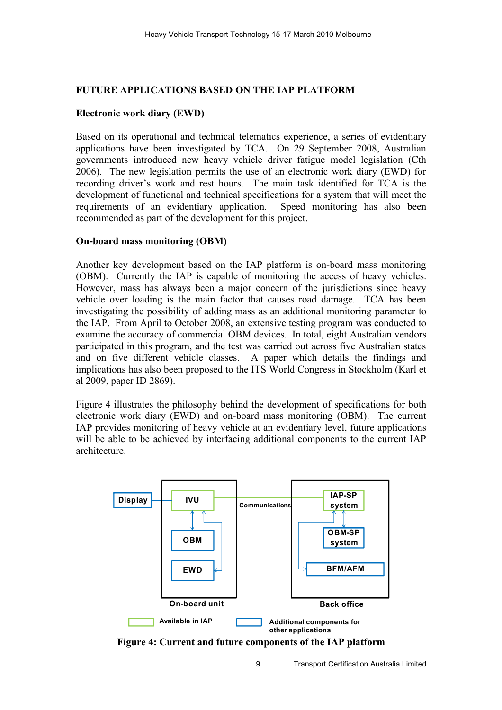# **FUTURE APPLICATIONS BASED ON THE IAP PLATFORM**

## **Electronic work diary (EWD)**

Based on its operational and technical telematics experience, a series of evidentiary applications have been investigated by TCA. On 29 September 2008, Australian governments introduced new heavy vehicle driver fatigue model legislation (Cth 2006). The new legislation permits the use of an electronic work diary (EWD) for recording driver's work and rest hours. The main task identified for TCA is the development of functional and technical specifications for a system that will meet the requirements of an evidentiary application. Speed monitoring has also been recommended as part of the development for this project.

### **On-board mass monitoring (OBM)**

Another key development based on the IAP platform is on-board mass monitoring (OBM). Currently the IAP is capable of monitoring the access of heavy vehicles. However, mass has always been a major concern of the jurisdictions since heavy vehicle over loading is the main factor that causes road damage. TCA has been investigating the possibility of adding mass as an additional monitoring parameter to the IAP. From April to October 2008, an extensive testing program was conducted to examine the accuracy of commercial OBM devices. In total, eight Australian vendors participated in this program, and the test was carried out across five Australian states and on five different vehicle classes. A paper which details the findings and implications has also been proposed to the ITS World Congress in Stockholm (Karl et al 2009, paper ID 2869).

[Figure 4](#page-8-0) illustrates the philosophy behind the development of specifications for both electronic work diary (EWD) and on-board mass monitoring (OBM). The current IAP provides monitoring of heavy vehicle at an evidentiary level, future applications will be able to be achieved by interfacing additional components to the current IAP architecture.



<span id="page-8-0"></span>**Figure 4: Current and future components of the IAP platform**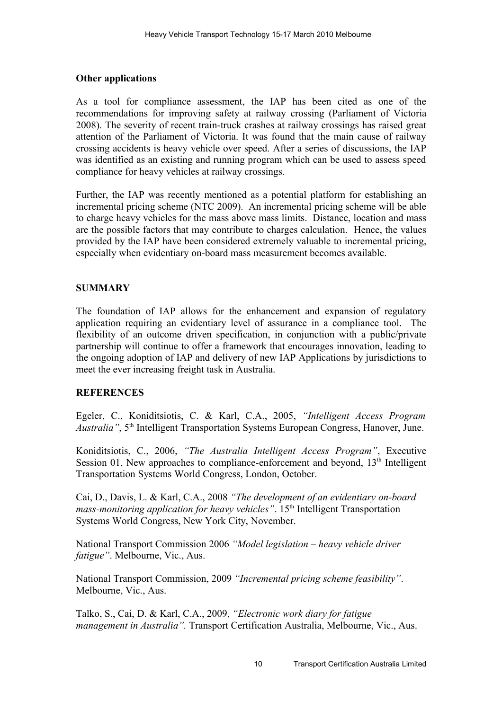### **Other applications**

As a tool for compliance assessment, the IAP has been cited as one of the recommendations for improving safety at railway crossing (Parliament of Victoria 2008). The severity of recent train-truck crashes at railway crossings has raised great attention of the Parliament of Victoria. It was found that the main cause of railway crossing accidents is heavy vehicle over speed. After a series of discussions, the IAP was identified as an existing and running program which can be used to assess speed compliance for heavy vehicles at railway crossings.

Further, the IAP was recently mentioned as a potential platform for establishing an incremental pricing scheme (NTC 2009). An incremental pricing scheme will be able to charge heavy vehicles for the mass above mass limits. Distance, location and mass are the possible factors that may contribute to charges calculation. Hence, the values provided by the IAP have been considered extremely valuable to incremental pricing, especially when evidentiary on-board mass measurement becomes available.

## **SUMMARY**

The foundation of IAP allows for the enhancement and expansion of regulatory application requiring an evidentiary level of assurance in a compliance tool. The flexibility of an outcome driven specification, in conjunction with a public/private partnership will continue to offer a framework that encourages innovation, leading to the ongoing adoption of IAP and delivery of new IAP Applications by jurisdictions to meet the ever increasing freight task in Australia.

### **REFERENCES**

Egeler, C., Koniditsiotis, C. & Karl, C.A., 2005, *"Intelligent Access Program Australia"*,  $5<sup>th</sup>$  Intelligent Transportation Systems European Congress, Hanover, June.

Koniditsiotis, C., 2006, *"The Australia Intelligent Access Program"*, Executive Session 01, New approaches to compliance-enforcement and beyond,  $13<sup>th</sup>$  Intelligent Transportation Systems World Congress, London, October.

Cai, D., Davis, L. & Karl, C.A., 2008 *"The development of an evidentiary on-board mass-monitoring application for heavy vehicles*". 15<sup>th</sup> Intelligent Transportation Systems World Congress, New York City, November.

National Transport Commission 2006 *"Model legislation – heavy vehicle driver fatigue"*. Melbourne, Vic., Aus.

National Transport Commission, 2009 *"Incremental pricing scheme feasibility"*. Melbourne, Vic., Aus.

Talko, S., Cai, D. & Karl, C.A., 2009, *"Electronic work diary for fatigue management in Australia".* Transport Certification Australia, Melbourne, Vic., Aus.